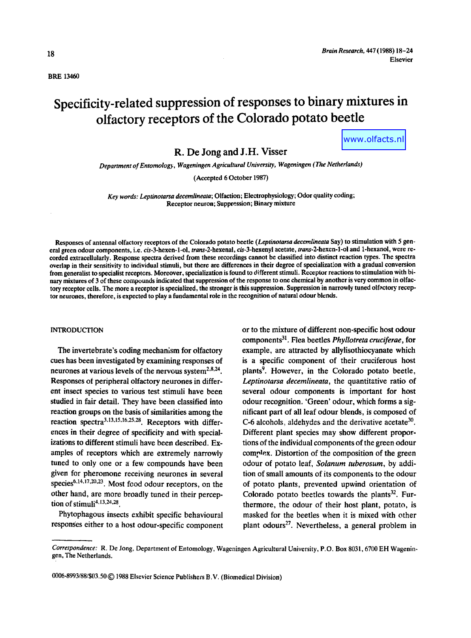BRE 13460

# **Specificity-related suppression of responses to binary mixtures in olfactory receptors of the Colorado potato beetle**

www.olfacts.nl

R. De Jong and J.H. Visser

*Department of Entomology, Wageningen Agricultural University, Wageningen (The Netherlands)* 

(Accepted 6 October 1987)

*Key words: Leptinotarsa decemlineata;* Olfaction; Electrophysiology; Odor quality coding; Receptor neuron; Suppression; Binary mixture

Responses of antennal olfactory receptors of the Colorado potato beetle *(Leptinotarsa decemlineata* Say) to stimulation with 5 general green odour components, i.e. *cis-3.hexen-l-ol,* trans-2-hexenal, c/s-3-hexenyl acetate, *trans.2-hexen-l-ol* and 1-hexanol, were recorded extracellularly. Response spectra derived from these recordings cannot be classified into distinct reaction types. The spectra overlap in their sensitivity to individual stimuli, but there are differences in their degree of specialization with a gradual conversion from generalist to specialist receptors. Moreover, specialization is found to different stimuli. Receptor reactions to stimulation with binary mixtures of 3 of these compounds indicated that suppression of the response to one chemical by another is very common in olfactory receptor cells. The more a receptor is specialized, the stronger is this suppression. Suppression in narrowly tuned olfactory receptor neurones, therefore, is expected to play a fundamental role in the recognition of natural odour blends.

#### **INTRODUCTION**

The invertebrate's coding mechanism for olfactory cues has been investigated by examining responses of neurones at various levels of the nervous system $2,8,24$ . Responses of peripheral olfactory neurones in different insect species to various test stimuli have been studied in fair detail. They have been classified into reaction groups on the basis of similarities among the reaction spectra<sup>3,13,15,16,25,28</sup>. Receptors with differences in their degree of specificity and with specializations to different stimuli have been described. Examples of receptors which are extremely narrowly tuned to only one or a few compounds have been given for pheromone receiving neurones in several species<sup>6,14,17,20,23</sup>. Most food odour receptors, on the other hand, are more broadly tuned in their perception of stimuli<sup>4,13,24,28</sup>.

Phytophagous insects exhibit specific behavioural responses either to a host odour-specific component or to the mixture of different non-specific host odour components 31. Flea beetles *Phyllotreta cruciferae,* for example, are attracted by allylisothiocyanate which is a specific component of their eruciferous host plants<sup>9</sup>. However, in the Colorado potato beetle, *Leptinotarsa decemlineata,* the quantitative ratio of several odour components is important for host odour recognition. 'Green' odour, which forms a significant part of all leaf odour blends, is composed of C-6 alcohols, aldehydes and the derivative acetate $30$ . Different plant species may show different proportions of the individual components of the green odour complex. Distortion of the composition of the green odour of potato leaf, *Solanum tuberosum,* by addition of small amounts of its components to the odour of potato plants, prevented upwind orientation of Colorado potato beetles towards the plants $32$ . Furthermore, the odour of their host plant, potato, is masked for the beetles when it is mixed with other plant odours<sup>27</sup>. Nevertheless, a general problem in

0006-8993/88/\$03.50 C 1988 Elsevier Science Publishers B, V. (Biomedical Division)

*Correspondence:* R. De Jong, Department of Entomology, Wageningen Agricultural University, P.O. Box 8031,6700 EH Wageningen, The Netherlands.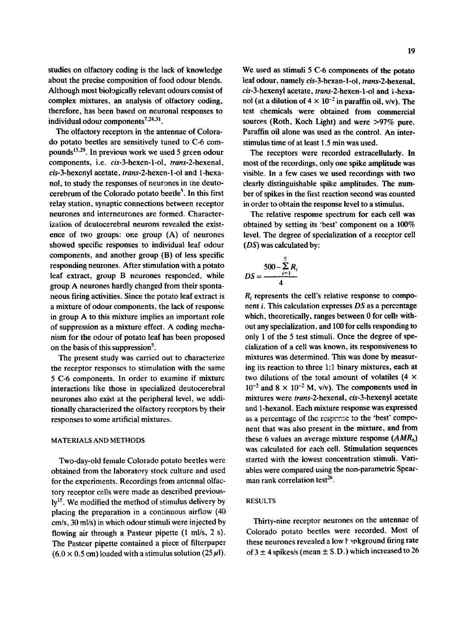studies on olfactory coding is the lack of knowledge about the precise composition of food odour blends. Although most biologically relevant odours consist of complex mixtures, an analysis of olfactory coding, therefore, has been based on neuronal responses to individual odour components $7.24.31$ .

The olfactory receptors in the antennae of Colorado potato beetles are sensitively tuned to C-6 compounds<sup>15,29</sup>. In previous work we used 5 green odour components, i.e. *cis-3-hexen-l-ol, trans-2-hexenal,*  cis-3-hexenyl acetate, *trans-2-hexen-l-ol* and 1-hexanol, to study the responses of neurones in the deutocerebrum of the Colorado potato beetle<sup>5</sup>. In this first relay station, synaptic connections between receptor neurones and interneurones are formed. Characterization of deutocerebrai neurons revealed the existence of two groups: one group (A) of neurones showed specific responses to individual leaf odour components, and another group (B) of less specific responding neurones. After stimulation with a potato leaf extract, group B neurones responded, while group A neurones hardly changed from their spontaneous firing activities. Since the potato leaf extract is a mixture of odour components, the lack of response in group A to this mixture implies an important role of suppression as a mixture effect. A coding mechanism for the odour of potato leaf has been proposed on the basis of this suppression $<sup>5</sup>$ .</sup>

The present study was carried out to characterize the receptor responses to stimulation with the same 5 C-6 components. In order to examine if mixture interactions like those in specialized deutocerebral neurones also exist at the peripheral level, we additionally characterized the olfactory receptors by their responses to some artificial mixtures.

#### MATERIALS AND METHODS

Two-day-old female Colorado potato beetles were obtained from the laboratory stock culture and used for the experiments. Recordings from antennal olfactory receptor cells were made as described previously<sup>15</sup>. We modified the method of stimulus delivery by placing the preparation in a continuous airflow (40 cm/s, 30 ml/s) in which odour stimuli were injected by flowing air through a Pasteur pipette (1 ml/s, 2 s). The Pasteur pipette contained a piece of filterpaper  $(6.0 \times 0.5 \text{ cm})$  loaded with a stimulus solution (25 $\mu$ l).

We used as stimuli 5 C-6 components of the potato leaf odour, namely *cis-3-hexan-l-ol, trans-2-hexenal,*  cis-3-hexenyl acetate, *trans-2-hexen-1-ol and i-hexa*nol (at a dilution of  $4 \times 10^{-2}$  in paraffin oil, v/v). The test chemicals were obtained from commercial sources (Roth, Koch Light) and were >97% pure. Paraffin oil alone was used as the control. An inter-

The receptors were recorded extraceilularly. In most of the recordings, only one spike amplitude was visible. In a few cases we used recordings with **two**  clearly distinguishable spike amplitudes. The number of spikes in the first reaction second was counted in order to obtain the response level to a stimulus.

stimulus time of at least 1.5 min was used.

The relative response spectrum for each cell was obtained by setting its 'best' component on a 100% level. The degree of specialization of a receptor cell *(DS)* was calculated by:

$$
DS = \frac{500 - \sum_{i=1}^{5} R_i}{4}
$$

*R*, represents the cell's relative response to component i. This calculation expresses *DS* as a percentage which, theoretically, ranges between 0 for cells without any specialization, and 100 for cells responding to only 1 of the 5 test stimuli. Once the degree of specialization of a cell was known, its responsiveness to mixtures was determined. This was done by measuring its reaction to three 1:1 binary mixtures, each at two dilutions of the total amount of volatiles (4  $\times$  $10^{-2}$  and  $8 \times 10^{-2}$  M, v/v). The components used in mixtures were *trans-2-hexenal, cis-3-hexenyl* acetate and 1-hexanol. Each mixture response was expressed as a percentage of the respense to the 'best' component that was also present in the mixture, and from these 6 values an average mixture response *(AMR6)*  was calculated for each cell. Stimulation sequences started with the lowest concentration stimuli. Variables were compared using the non-parametric Spearman rank correlation test<sup>26</sup>.

## RESULTS

Thirty-nine receptor neurones on the antennae of Colorado potato beetles were recorded. Most of these neurones revealed a low t whereund firing rate of  $3 \pm 4$  spikes/s (mean  $\pm$  S.D.) which increased to 26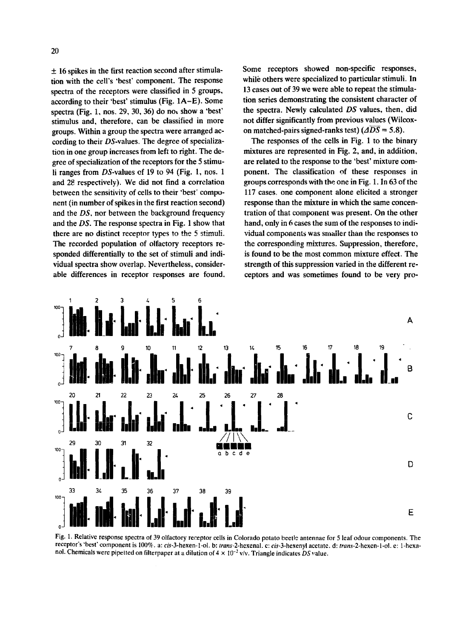$\pm$  16 spikes in the first reaction second after stimulation with the cell's 'best' component. The response spectra of the receptors were classified in 5 groups, according to their 'best' stimulus (Fig. 1A-E). Some spectra (Fig. 1, nos. 29, 30, 36) do not show a 'best' stimulus and, therefore, can be classified in more groups. Within a group the spectra were arranged according to their DS-values. The degree of specialization in one group increases from left to right. The degree of specialization of the receptors for the 5 stimuli ranges from  $DS$ -values of 19 to 94 (Fig. 1, nos. 1) and 28 respectively). We did not find a correlation between the sensitivity of cells to their 'best' component (in number of spikes in the first reaction second) and the *DS,* nor between the background frequency and the *DS.* The response spectra in Fig. 1 show that there are no distinct receptor types to the 5 stimuli. The recorded population of olfactory receptors responded differentially to the set of stimuli and individual spectra show overlap. Nevertheless, considerable differences in receptor responses are found.

Some receptors showed non-specific responses, while others were specialized to particular stimuli. In 13 cases out of 39 we were able to repeat the stimulation series demonstrating the consistent character of the spectra. Newly calculated *DS* values, then, did not differ significantly from previous values (Wilcoxon matched-pairs signed-ranks test)  $(\overline{\Delta DS} = 5.8)$ .

The responses of the cells in Fig. 1 to the binary mixtures are represented in Fig. 2, and, in addition, are related to the response to the 'best' mixture component. The classification of these responses in groups corresponds with the one in Fig. 1. In 63 of the 117 cases, one component alone elicited a stronger response than the mixture in which the same concentration of that component was present. On the other hand, only in 6 cases the sum of the responses to individual components was smaller than the responses to the corresponding mixtures. Suppression, therefore, is found to be the most common mixture effect. The strength of this suppression varied in the different receptors and was sometimes found to be very pro-



Fig. 1. Relative response spectra of 39 olfactory receptor cells in Colorado potato beetle antennae for 5 leaf odour components. The receptor's "best' component is 100%. a: *cis-3-hexen-l-ol, b: trans-2-hexenal,* c: *cis-3-hexenyl* acetate, d: *trans-2-hexen-l-ol,* e: 1-hcxanol. Chemicals were pipetted on filterpaper at a dilution of  $4 \times 10^{-2}$  v/v. Triangle indicates *DS* value.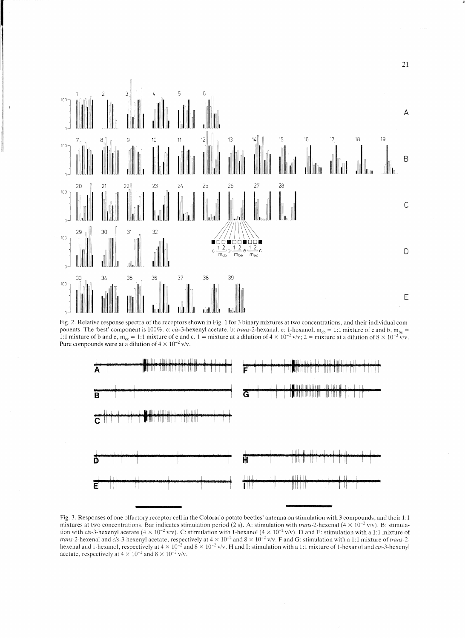

Fig. 2. Relative response spectra of the receptors shown in Fig. 1 for 3 binary mixtures at two concentrations, and their individual components. The 'best' component is 100%. c: cis-3-hexenyl acetate. b: *trans*-2-hexanal. e: 1-hexanol,  $m_{cb} = 1:1$  mixture of c and b,  $m_{be} =$ 1:1 mixture of b and e,  $m_{ee} = 1:1$  mixture of e and c,  $1 =$  mixture at a dilution of  $4 \times 10^{-2}$  v/v;  $2 =$  mixture at a dilution of  $8 \times 10^{-2}$  v/v. Pure compounds were at a dilution of  $4 \times 10^{-2}$  v/v.



Fig. 3. Responses of one olfactory receptor cell in the Colorado potato beetles' antenna on stimulation with 3 compounds, and their 1:1 mixtures at two concentrations. Bar indicates stimulation period (2 s). A: stimulation with *trans-2*-hexenal  $(4 \times 10^{-2}$  v/v). B: stimulation with cis-3-hexenyl acetate ( $4 \times 10^{-2}$  v/v). C: stimulation with 1-hexanol ( $4 \times 10^{-2}$  v/v). D and E: stimulation with a 1:1 mixture of *trans-2-hexenal and cis-3-hexenyl acetate, respectively at*  $4 \times 10^{-2}$  and  $8 \times 10^{-2}$  v/v. F and G: stimulation with a 1:1 mixture of *trans-2*hexenal and 1-hexanol, respectively at  $4 \times 10^{-2}$  and  $8 \times 10^{-2}$  v/v. H and I: stimulation with a 1:1 mixture of 1-hexanol and cis-3-hexenyl acetate, respectively at  $4 \times 10^{-2}$  and  $8 \times 10^{-2}$  v/v.

21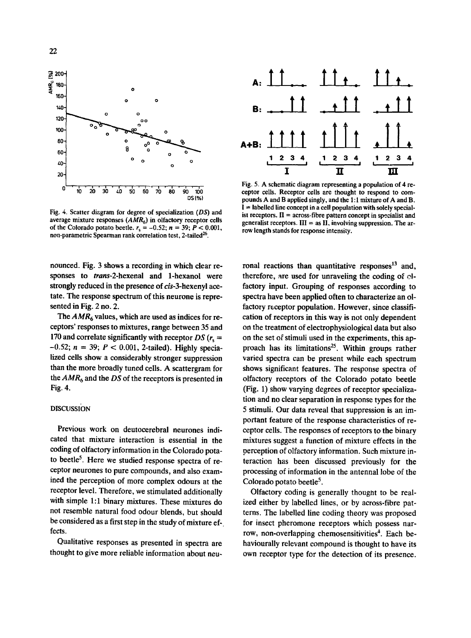

Fig. 4. Scatter diagram for degree of specialization (DS) and average mixture responses ( $AMR<sub>6</sub>$ ) in olfactory receptor cells of the Colorado potato beetle,  $r_s = -0.52$ ;  $n = 39$ ;  $P < 0.001$ , non-parametric Spearman rank correlation test, 2-tailed<sup>26</sup>.

nounced. Fig. 3 shows a recording in which clear responses to *trans-2-hexenal* and 1-hexanol were strongly reduced in the presence of *cis-3-hexenyl* acetate. The response spectrum of this neurone is represented in Fig. 2 no. 2.

The  $AMR<sub>6</sub>$  values, which are used as indices for receptors' responses to mixtures, range between 35 and 170 and correlate significantly with receptor  $DS (r_s =$  $-0.52$ ;  $n = 39$ ;  $P < 0.001$ , 2-tailed). Highly specialized cells show a considerably stronger suppression than the more broadly tuned cells. A scattergram for the *AMR 6* and the *DS* of the receptors is presented in Fig. 4.

# DISCUSSION

Previous work on deutocerebral neurones indicated that mixture interaction is essential in the coding of olfactory information in the Colorado potato beetle<sup>5</sup>. Here we studied response spectra of receptor neurones to pure compounds, and also examined the perception of more complex odours at the receptor level. Therefore, we stimulated additionally with simple 1:1 binary mixtures. These mixtures do not resemble natural food odour blends, but should he considered as a first step in the study of mixture effects.

Qualitative responses as presented in spectra are thought to give more reliable information about neu-



Fig. 5. A schematic diagram representing a population of 4 receptor cells. Receptor cells are thought to respond to compounds A and B applied singly, and the 1:1 mixture of A and B.  $I =$  labelled line concept in a cell population with solely specialist receptors.  $II = \arccos$ -fibre pattern concept in specialist and generalist receptors.  $III =$  as II, involving suppression. The arrow length stands for response intensity.

ronal reactions than quantitative responses $13$  and, therefore, are used for unraveling the coding of  $\mathbb{C}$ factory input. Grouping of responses according to spectra have been applied often to characterize an olfactory receptor population. However, since classification of receptors in this way is not only dependent on the treatment of electrophysiological data but also on the set of stimuli used in the experiments, this approach has its limitations<sup>25</sup>. Within groups rather varied spectra can be present while each spectrum shows significant features, The response spectra of olfactory receptors of the Colorado potato beetle (Fig. 1) show varying degrees of receptor specialization and no clear separation in response types for the 5 stimuli. Our data reveal that suppression is an important feature of the response characteristics of receptor cells. The responses of receptors to the binary mixtures suggest a function of mixture effects in the perception of olfactory information. Such mixture interaction has been discussed previously for the processing of information in the antennal lobe of the Colorado potato beetle $5$ .

Olfactory coding is generally thought to be realized either by labelled lines, or by across-fibre patterns. The labelled line coding theory was proposed for insect pheromone receptors which possess narrow, non-overlapping chemosensitivities<sup>4</sup>. Each behaviourally relevant compound is thought to have its own receptor type for the detection of its presence.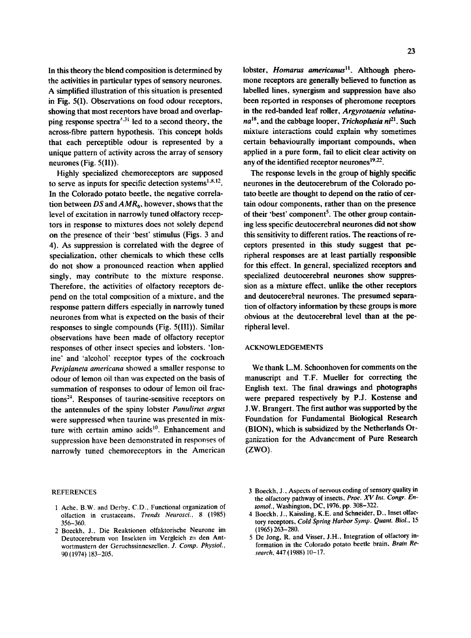In this theory the blend composition is determined by the activities in particular types of sensory neurones. A simplified illustration of this situation is presented in Fig. 5(1). Observations on food odour receptors, showing that most receptors have broad and overlapping response spectra<sup> $3,31$ </sup> led to a second theory, the across-fibre pattern hypothesis. This concept holds that each perceptible odour is represented by a unique pattern of activity across the array of sensory neurones (Fig. 5(11)).

Highly specialized chemoreceptors are supposed to serve as inputs for specific detection systems $^{1.8.12}$ . In the Colorado potato beetle, the negative correlation between *DS* and *AMR 6,* however, shows that the level of excitation in narrowly tuned olfactory receptors in response to mixtures does not solely depend on the presence of their 'best' stimulus (Figs. 3 and 4). As suppression is correlated with the degree of specialization, other chemicals to which these cells do not show a pronounced reaction when applied singly, may contribute to the mixture response. Therefore, the activities of olfactory receptors depend on the total composition of a mixture, and the response pattern differs especially in narrowly tuned neurones from what is expected on the basis of their responses to single compounds (Fig. 5(III)). Similar observations have been made of olfactory receptor responses of other insect species and lobsters. 'Ionine' and 'alcohol' receptor types of the cockroach *Periplaneta americana* showed a smaller response to odour of lemon oil than was expected on the basis of summation of responses to odour of lemon oil fractions $24$ . Responses of taurine-sensitive receptors on the antennules of the spiny lobster *Panulirus argus*  were suppressed when taurine was presented in mixture with certain amino acids<sup>10</sup>. Enhancement and suppression have been demonstrated in responses of narrowly tuned chemoreceptors in the American

## **REFERENCES**

- 1 Ache, B.W. and Derby, C.D., Functional organization of olfaction in crustaceans, *Trends Neurosci..* 8 (1985) 356-360.
- 2 Boeckh, J.. Die Reaktionen olfaktorische Neurone im Deutocerebrum yon Insekten im Vergleich zu den Antwortmustern der Geruchssinneszellen, *J. Comp. Physiol.,*  90 (1974) 183-205,

lobster, *Homarus americanus*<sup>11</sup>. Although pheromone receptors are generally believed to function as labelled lines, synergism and suppression have also been reported in responses of pheromone receptors in the red-banded leaf roller, *Argyrotaenia velutinana*<sup>18</sup>, and the cabbage looper, *Trichoplusia ni*<sup>21</sup>, Such mixture interactions could explain why sometimes certain behaviourally important compounds, when applied in a pure form, fail to elicit clear activity on any of the identified receptor neurones  $19.22$ .

The response levels in the group of highly specific neurones in the deutocerebrum of the Colorado potato beetle are thought to depend on the ratio of certain odour components, rather than on the presence of their 'best' component<sup>5</sup>. The other group containing less specific deutocerebral neurones did not show this sensitivity to different ratios. The reactions of receptors presented in this study suggest that peripheral responses are at least partially responsible for this effect. In general, specialized receptors and specialized deutocerebral neurones show suppression as a mixture effect, unlike the other receptors and deutocerebral neurones. The presumed separation of olfactory information by these groups is more obvious at the deutocerebral level than at the peripheral level.

#### ACKNOWLEDGEMENTS

We thank L.M. Schoonhoven for comments on the manuscript and T.F. Mueiler for correcting the English text. The final drawings and photographs were prepared respectively by P.J. Kostense and J.W. Brangert. The first author was supported by the Foundation for Fundamental Biological Research (BION), which is subsidized by the Netherlands Organization for the Advancement of Pure Research (ZWO).

<sup>3</sup> Boeckh, J., Aspects of nervous coding of sensory quality in the olfactory pathway of insects, *Proc. XV Int. Congr. Entomol.,* Washington, DC, 1976, pp. 308-322.

<sup>4</sup> Boeckh, J., Kaissling, K.E. and Schneider, D., Inset olfactory receptors, *Cold Spring Harbor Syrup. Quant, Biol..* 15 (1965) 263-280.

<sup>5</sup> De Jong, R. and Visser, J.H., Integration of olfactory information in the Colorado potato beetle brain, *Brain Research.* 447 (1988) 10-17.